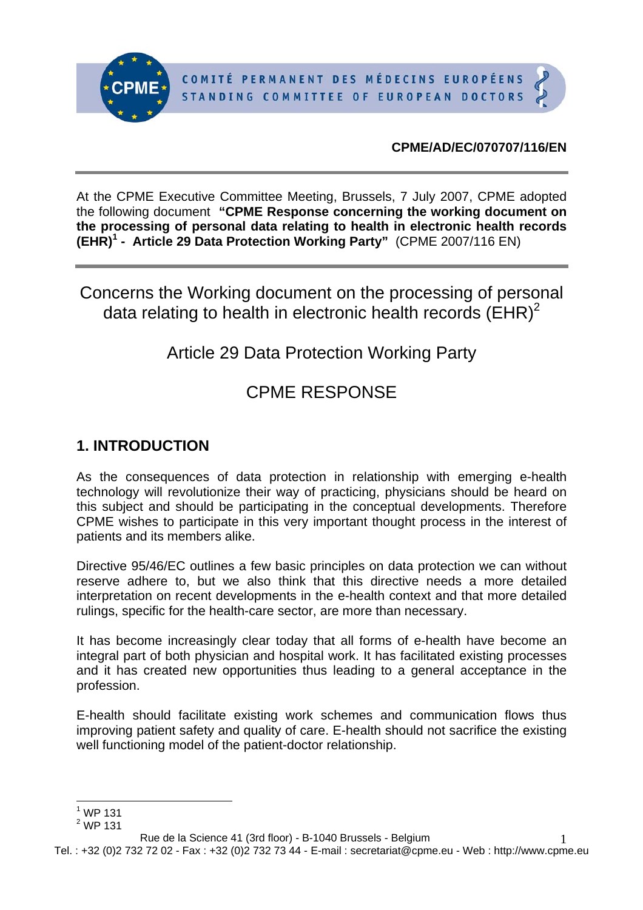

#### **CPME/AD/EC/070707/116/EN**

At the CPME Executive Committee Meeting, Brussels, 7 July 2007, CPME adopted the following document **"CPME Response concerning the working document on the processing of personal data relating to health in electronic health records (EHR)<sup>1</sup> - Article 29 Data Protection Working Party"** (CPME 2007/116 EN)

Concerns the Working document on the processing of personal data relating to health in electronic health records  $(EHR)^2$ 

# Article 29 Data Protection Working Party

# CPME RESPONSE

### **1. INTRODUCTION**

As the consequences of data protection in relationship with emerging e-health technology will revolutionize their way of practicing, physicians should be heard on this subject and should be participating in the conceptual developments. Therefore CPME wishes to participate in this very important thought process in the interest of patients and its members alike.

Directive 95/46/EC outlines a few basic principles on data protection we can without reserve adhere to, but we also think that this directive needs a more detailed interpretation on recent developments in the e-health context and that more detailed rulings, specific for the health-care sector, are more than necessary.

It has become increasingly clear today that all forms of e-health have become an integral part of both physician and hospital work. It has facilitated existing processes and it has created new opportunities thus leading to a general acceptance in the profession.

E-health should facilitate existing work schemes and communication flows thus improving patient safety and quality of care. E-health should not sacrifice the existing well functioning model of the patient-doctor relationship.

Tel. : +32 (0)2 732 72 02 - Fax : +32 (0)2 732 73 44 - E-mail : secretariat@cpme.eu - Web : http://www.cpme.eu 1

 $\overline{a}$  $1$  WP 131

 $2$  WP 131

Rue de la Science 41 (3rd floor) - B-1040 Brussels - Belgium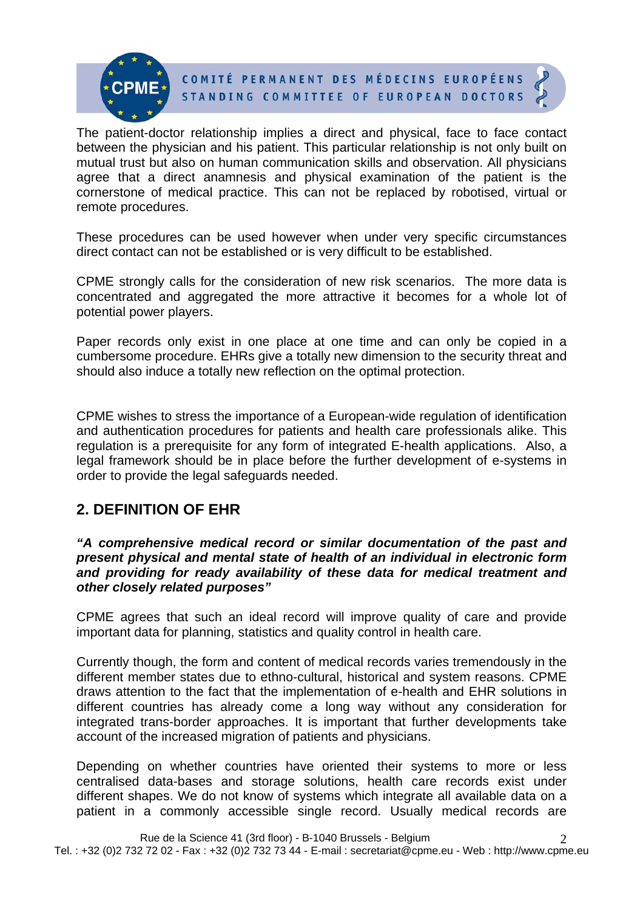

The patient-doctor relationship implies a direct and physical, face to face contact between the physician and his patient. This particular relationship is not only built on mutual trust but also on human communication skills and observation. All physicians agree that a direct anamnesis and physical examination of the patient is the cornerstone of medical practice. This can not be replaced by robotised, virtual or remote procedures.

These procedures can be used however when under very specific circumstances direct contact can not be established or is very difficult to be established.

CPME strongly calls for the consideration of new risk scenarios. The more data is concentrated and aggregated the more attractive it becomes for a whole lot of potential power players.

Paper records only exist in one place at one time and can only be copied in a cumbersome procedure. EHRs give a totally new dimension to the security threat and should also induce a totally new reflection on the optimal protection.

CPME wishes to stress the importance of a European-wide regulation of identification and authentication procedures for patients and health care professionals alike. This regulation is a prerequisite for any form of integrated E-health applications. Also, a legal framework should be in place before the further development of e-systems in order to provide the legal safeguards needed.

### **2. DEFINITION OF EHR**

*"A comprehensive medical record or similar documentation of the past and present physical and mental state of health of an individual in electronic form and providing for ready availability of these data for medical treatment and other closely related purposes"* 

CPME agrees that such an ideal record will improve quality of care and provide important data for planning, statistics and quality control in health care.

Currently though, the form and content of medical records varies tremendously in the different member states due to ethno-cultural, historical and system reasons. CPME draws attention to the fact that the implementation of e-health and EHR solutions in different countries has already come a long way without any consideration for integrated trans-border approaches. It is important that further developments take account of the increased migration of patients and physicians.

Depending on whether countries have oriented their systems to more or less centralised data-bases and storage solutions, health care records exist under different shapes. We do not know of systems which integrate all available data on a patient in a commonly accessible single record. Usually medical records are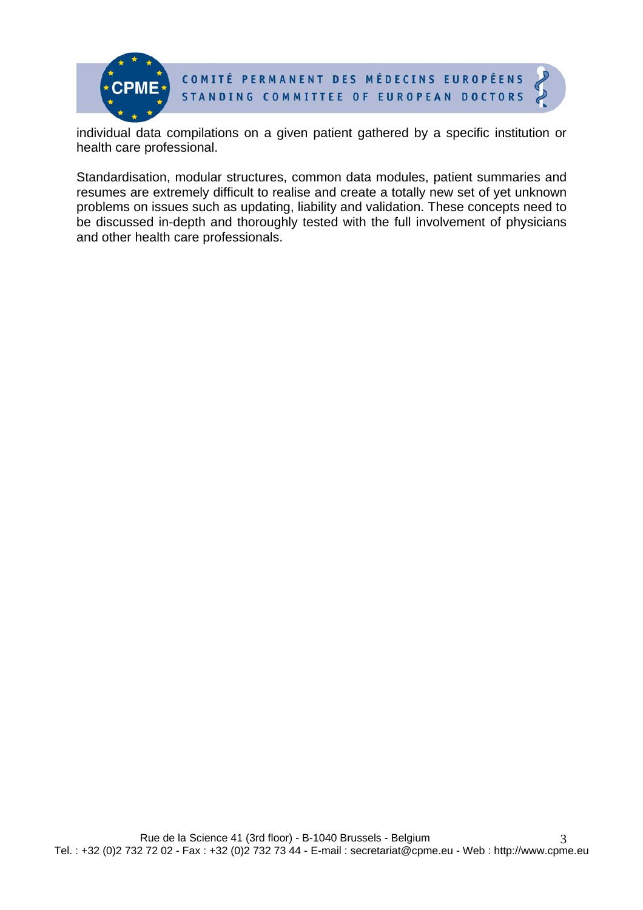

COMITÉ PERMANENT DES MÉDECINS EUROPÉENS STANDING COMMITTEE OF EUROPEAN DOCTORS

individual data compilations on a given patient gathered by a specific institution or health care professional.

Standardisation, modular structures, common data modules, patient summaries and resumes are extremely difficult to realise and create a totally new set of yet unknown problems on issues such as updating, liability and validation. These concepts need to be discussed in-depth and thoroughly tested with the full involvement of physicians and other health care professionals.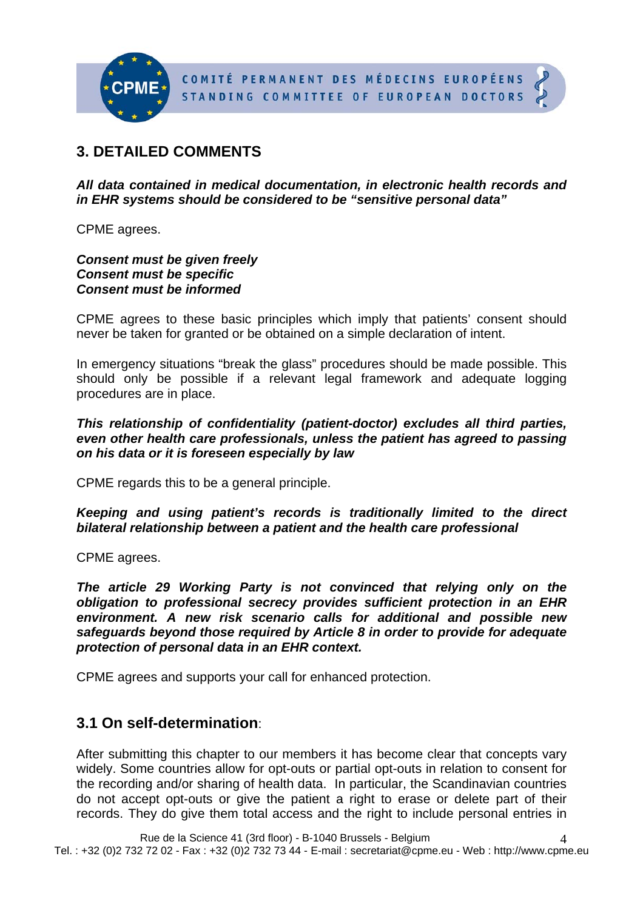

## **3. DETAILED COMMENTS**

*All data contained in medical documentation, in electronic health records and in EHR systems should be considered to be "sensitive personal data"* 

CPME agrees.

*Consent must be given freely Consent must be specific Consent must be informed* 

CPME agrees to these basic principles which imply that patients' consent should never be taken for granted or be obtained on a simple declaration of intent.

In emergency situations "break the glass" procedures should be made possible. This should only be possible if a relevant legal framework and adequate logging procedures are in place.

*This relationship of confidentiality (patient-doctor) excludes all third parties, even other health care professionals, unless the patient has agreed to passing on his data or it is foreseen especially by law* 

CPME regards this to be a general principle.

*Keeping and using patient's records is traditionally limited to the direct bilateral relationship between a patient and the health care professional* 

CPME agrees.

*The article 29 Working Party is not convinced that relying only on the obligation to professional secrecy provides sufficient protection in an EHR environment. A new risk scenario calls for additional and possible new safeguards beyond those required by Article 8 in order to provide for adequate protection of personal data in an EHR context.* 

CPME agrees and supports your call for enhanced protection.

### **3.1 On self-determination**:

After submitting this chapter to our members it has become clear that concepts vary widely. Some countries allow for opt-outs or partial opt-outs in relation to consent for the recording and/or sharing of health data. In particular, the Scandinavian countries do not accept opt-outs or give the patient a right to erase or delete part of their records. They do give them total access and the right to include personal entries in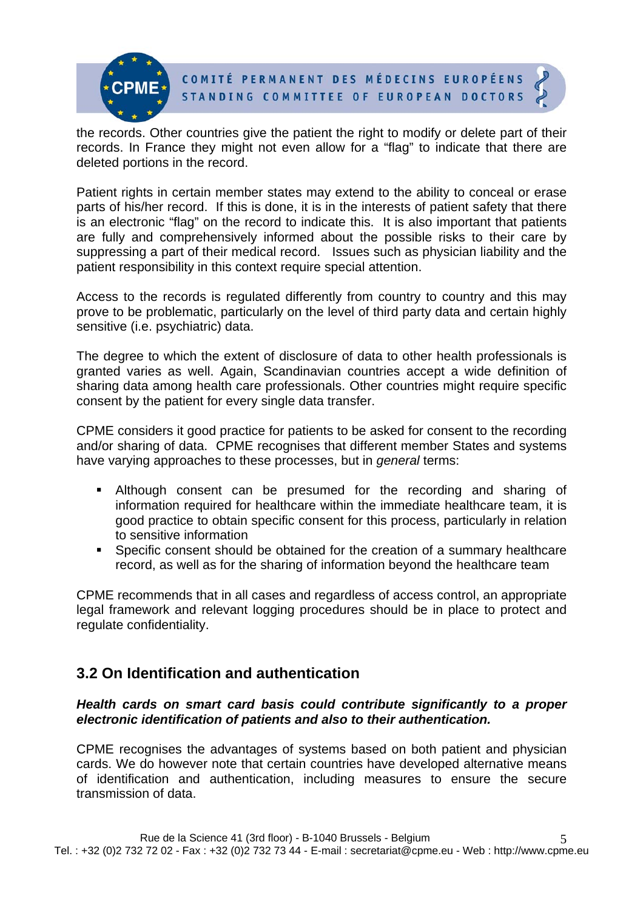

the records. Other countries give the patient the right to modify or delete part of their records. In France they might not even allow for a "flag" to indicate that there are deleted portions in the record.

Patient rights in certain member states may extend to the ability to conceal or erase parts of his/her record. If this is done, it is in the interests of patient safety that there is an electronic "flag" on the record to indicate this. It is also important that patients are fully and comprehensively informed about the possible risks to their care by suppressing a part of their medical record. Issues such as physician liability and the patient responsibility in this context require special attention.

Access to the records is regulated differently from country to country and this may prove to be problematic, particularly on the level of third party data and certain highly sensitive (i.e. psychiatric) data.

The degree to which the extent of disclosure of data to other health professionals is granted varies as well. Again, Scandinavian countries accept a wide definition of sharing data among health care professionals. Other countries might require specific consent by the patient for every single data transfer.

CPME considers it good practice for patients to be asked for consent to the recording and/or sharing of data. CPME recognises that different member States and systems have varying approaches to these processes, but in *general* terms:

- Although consent can be presumed for the recording and sharing of information required for healthcare within the immediate healthcare team, it is good practice to obtain specific consent for this process, particularly in relation to sensitive information
- Specific consent should be obtained for the creation of a summary healthcare record, as well as for the sharing of information beyond the healthcare team

CPME recommends that in all cases and regardless of access control, an appropriate legal framework and relevant logging procedures should be in place to protect and regulate confidentiality.

### **3.2 On Identification and authentication**

#### *Health cards on smart card basis could contribute significantly to a proper electronic identification of patients and also to their authentication.*

CPME recognises the advantages of systems based on both patient and physician cards. We do however note that certain countries have developed alternative means of identification and authentication, including measures to ensure the secure transmission of data.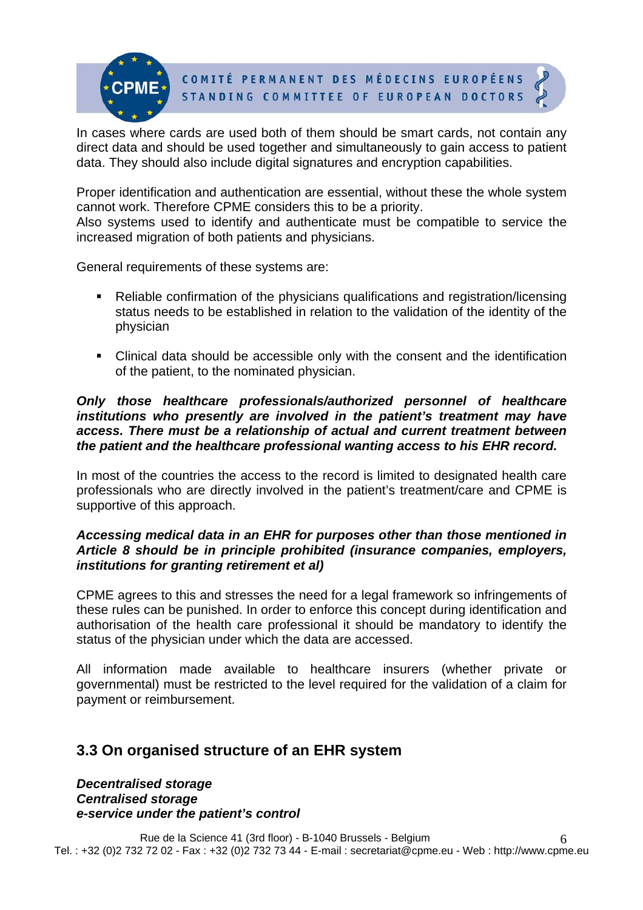COMITÉ PERMANENT DES MÉDECINS EUROPÉENS STANDING COMMITTEE OF EUROPEAN DOCTORS

In cases where cards are used both of them should be smart cards, not contain any direct data and should be used together and simultaneously to gain access to patient data. They should also include digital signatures and encryption capabilities.

Proper identification and authentication are essential, without these the whole system cannot work. Therefore CPME considers this to be a priority.

Also systems used to identify and authenticate must be compatible to service the increased migration of both patients and physicians.

General requirements of these systems are:

- Reliable confirmation of the physicians qualifications and registration/licensing status needs to be established in relation to the validation of the identity of the physician
- Clinical data should be accessible only with the consent and the identification of the patient, to the nominated physician.

#### *Only those healthcare professionals/authorized personnel of healthcare institutions who presently are involved in the patient's treatment may have access. There must be a relationship of actual and current treatment between the patient and the healthcare professional wanting access to his EHR record.*

In most of the countries the access to the record is limited to designated health care professionals who are directly involved in the patient's treatment/care and CPME is supportive of this approach.

#### *Accessing medical data in an EHR for purposes other than those mentioned in Article 8 should be in principle prohibited (insurance companies, employers, institutions for granting retirement et al)*

CPME agrees to this and stresses the need for a legal framework so infringements of these rules can be punished. In order to enforce this concept during identification and authorisation of the health care professional it should be mandatory to identify the status of the physician under which the data are accessed.

All information made available to healthcare insurers (whether private or governmental) must be restricted to the level required for the validation of a claim for payment or reimbursement.

### **3.3 On organised structure of an EHR system**

*Decentralised storage Centralised storage e-service under the patient's control*